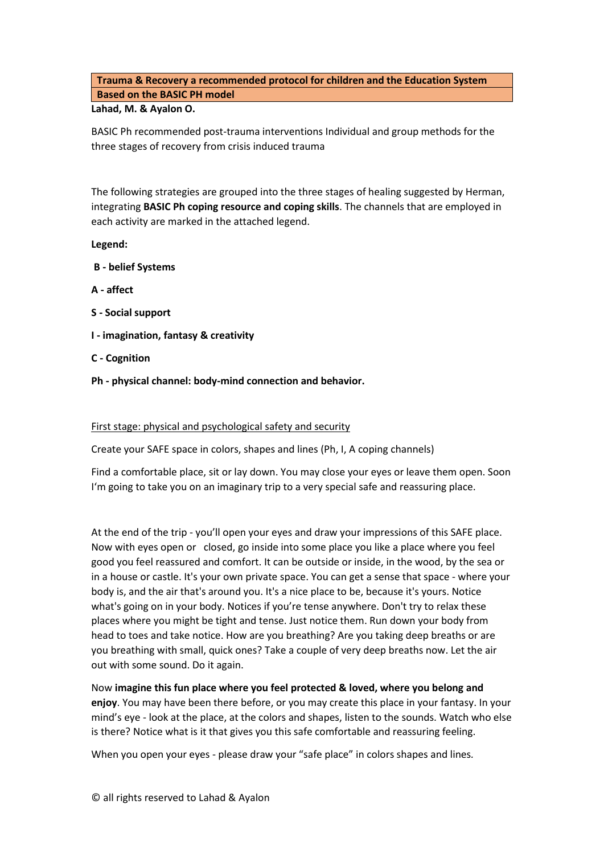# **Trauma & Recovery a recommended protocol for children and the Education System Based on the BASIC PH model**

## **Lahad, M. & Ayalon O.**

BASIC Ph recommended post-trauma interventions Individual and group methods for the three stages of recovery from crisis induced trauma

The following strategies are grouped into the three stages of healing suggested by Herman, integrating **BASIC Ph coping resource and coping skills**. The channels that are employed in each activity are marked in the attached legend.

**Legend:**

- **B - belief Systems**
- **A - affect**
- **S - Social support**
- **I - imagination, fantasy & creativity**
- **C - Cognition**
- **Ph - physical channel: body-mind connection and behavior.**

## First stage: physical and psychological safety and security

Create your SAFE space in colors, shapes and lines (Ph, I, A coping channels)

Find a comfortable place, sit or lay down. You may close your eyes or leave them open. Soon I'm going to take you on an imaginary trip to a very special safe and reassuring place.

At the end of the trip - you'll open your eyes and draw your impressions of this SAFE place. Now with eyes open or closed, go inside into some place you like a place where you feel good you feel reassured and comfort. It can be outside or inside, in the wood, by the sea or in a house or castle. It's your own private space. You can get a sense that space - where your body is, and the air that's around you. It's a nice place to be, because it's yours. Notice what's going on in your body. Notices if you're tense anywhere. Don't try to relax these places where you might be tight and tense. Just notice them. Run down your body from head to toes and take notice. How are you breathing? Are you taking deep breaths or are you breathing with small, quick ones? Take a couple of very deep breaths now. Let the air out with some sound. Do it again.

Now **imagine this fun place where you feel protected & loved, where you belong and enjoy**. You may have been there before, or you may create this place in your fantasy. In your mind's eye - look at the place, at the colors and shapes, listen to the sounds. Watch who else is there? Notice what is it that gives you this safe comfortable and reassuring feeling.

When you open your eyes - please draw your "safe place" in colors shapes and lines*.*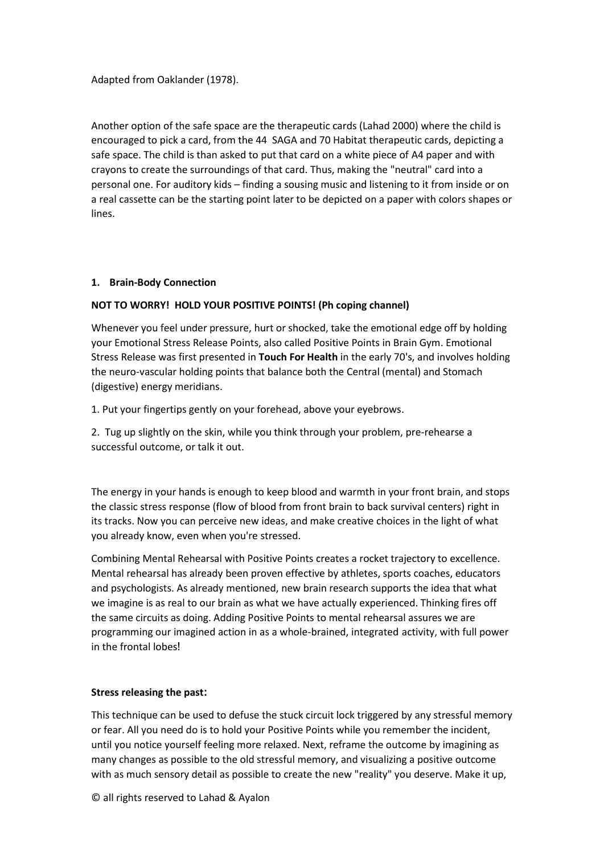Adapted from Oaklander (1978).

Another option of the safe space are the therapeutic cards (Lahad 2000) where the child is encouraged to pick a card, from the 44 SAGA and 70 Habitat therapeutic cards, depicting a safe space. The child is than asked to put that card on a white piece of A4 paper and with crayons to create the surroundings of that card. Thus, making the "neutral" card into a personal one. For auditory kids – finding a sousing music and listening to it from inside or on a real cassette can be the starting point later to be depicted on a paper with colors shapes or lines.

## **1. Brain-Body Connection**

## **NOT TO WORRY! HOLD YOUR POSITIVE POINTS! (Ph coping channel)**

Whenever you feel under pressure, hurt or shocked, take the emotional edge off by holding your Emotional Stress Release Points, also called Positive Points in Brain Gym. Emotional Stress Release was first presented in **Touch For Health** in the early 70's, and involves holding the neuro-vascular holding points that balance both the Central (mental) and Stomach (digestive) energy meridians .

1. Put your fingertips gently on your forehead, above your eyebrows .

2. Tug up slightly on the skin, while you think through your problem, pre-rehearse a successful outcome, or talk it out.

The energy in your hands is enough to keep blood and warmth in your front brain, and stops the classic stress response (flow of blood from front brain to back survival centers) right in its tracks. Now you can perceive new ideas, and make creative choices in the light of what you already know, even when you're stressed .

Combining Mental Rehearsal with Positive Points creates a rocket trajectory to excellence. Mental rehearsal has already been proven effective by athletes, sports coaches, educators and psychologists. As already mentioned, new brain research supports the idea that what we imagine is as real to our brain as what we have actually experienced. Thinking fires off the same circuits as doing. Adding Positive Points to mental rehearsal assures we are programming our imagined action in as a whole-brained, integrated activity, with full power in the frontal lobes!

## **Stress releasing the past:**

This technique can be used to defuse the stuck circuit lock triggered by any stressful memory or fear. All you need do is to hold your Positive Points while you remember the incident, until you notice yourself feeling more relaxed. Next, reframe the outcome by imagining as many changes as possible to the old stressful memory, and visualizing a positive outcome with as much sensory detail as possible to create the new "reality" you deserve. Make it up,

© all rights reserved to Lahad & Ayalon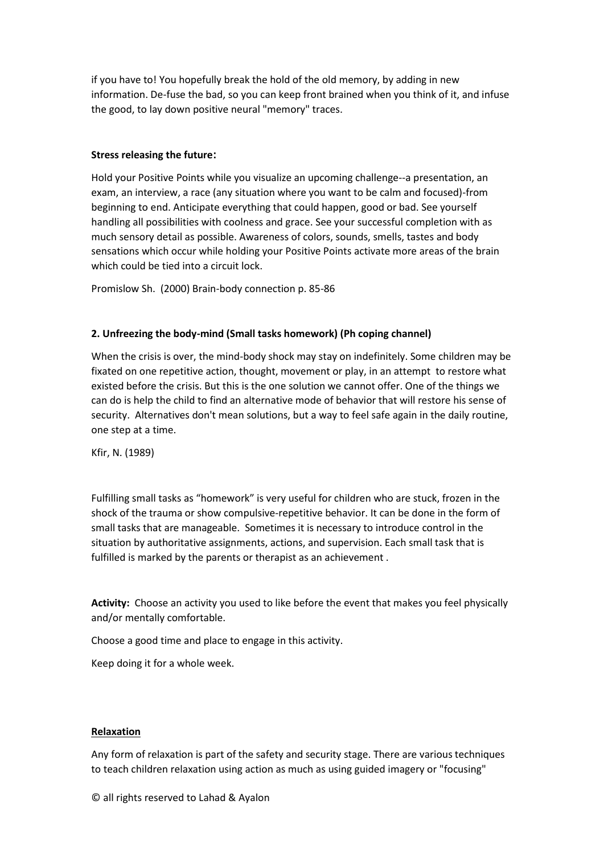if you have to! You hopefully break the hold of the old memory, by adding in new information. De-fuse the bad, so you can keep front brained when you think of it, and infuse the good, to lay down positive neural "memory" traces .

### **Stress releasing the future:**

Hold your Positive Points while you visualize an upcoming challenge--a presentation, an exam, an interview, a race (any situation where you want to be calm and focused)-from beginning to end. Anticipate everything that could happen, good or bad. See yourself handling all possibilities with coolness and grace. See your successful completion with as much sensory detail as possible. Awareness of colors, sounds, smells, tastes and body sensations which occur while holding your Positive Points activate more areas of the brain which could be tied into a circuit lock.

Promislow Sh. (2000) Brain-body connection p. 85-86

#### **2. Unfreezing the body-mind (Small tasks homework) (Ph coping channel)**

When the crisis is over, the mind-body shock may stay on indefinitely. Some children may be fixated on one repetitive action, thought, movement or play, in an attempt to restore what existed before the crisis. But this is the one solution we cannot offer. One of the things we can do is help the child to find an alternative mode of behavior that will restore his sense of security. Alternatives don't mean solutions, but a way to feel safe again in the daily routine, one step at a time.

Kfir, N. (1989)

Fulfilling small tasks as "homework" is very useful for children who are stuck, frozen in the shock of the trauma or show compulsive-repetitive behavior. It can be done in the form of small tasks that are manageable. Sometimes it is necessary to introduce control in the situation by authoritative assignments, actions, and supervision. Each small task that is fulfilled is marked by the parents or therapist as an achievement .

**Activity:** Choose an activity you used to like before the event that makes you feel physically and/or mentally comfortable.

Choose a good time and place to engage in this activity.

Keep doing it for a whole week.

#### **Relaxation**

Any form of relaxation is part of the safety and security stage. There are various techniques to teach children relaxation using action as much as using guided imagery or "focusing"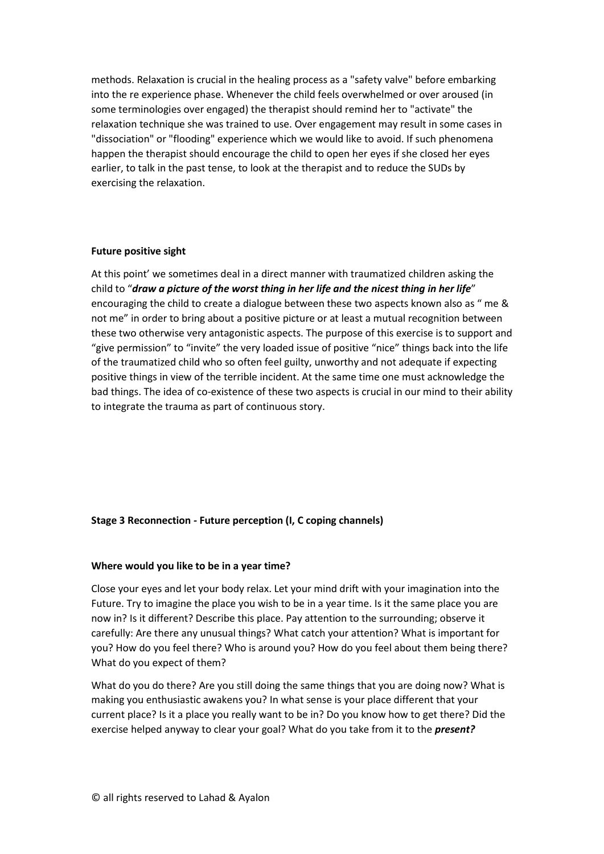methods. Relaxation is crucial in the healing process as a "safety valve" before embarking into the re experience phase. Whenever the child feels overwhelmed or over aroused (in some terminologies over engaged) the therapist should remind her to "activate" the relaxation technique she was trained to use. Over engagement may result in some cases in "dissociation" or "flooding" experience which we would like to avoid. If such phenomena happen the therapist should encourage the child to open her eyes if she closed her eyes earlier, to talk in the past tense, to look at the therapist and to reduce the SUDs by exercising the relaxation.

## **Future positive sight**

At this point' we sometimes deal in a direct manner with traumatized children asking the child to "*draw a picture of the worst thing in her life and the nicest thing in her life*" encouraging the child to create a dialogue between these two aspects known also as " me & not me" in order to bring about a positive picture or at least a mutual recognition between these two otherwise very antagonistic aspects. The purpose of this exercise is to support and "give permission" to "invite" the very loaded issue of positive "nice" things back into the life of the traumatized child who so often feel guilty, unworthy and not adequate if expecting positive things in view of the terrible incident. At the same time one must acknowledge the bad things. The idea of co-existence of these two aspects is crucial in our mind to their ability to integrate the trauma as part of continuous story.

## **Stage 3 Reconnection** *-* **Future perception (I, C coping channels)**

## **Where would you like to be in a year time?**

Close your eyes and let your body relax. Let your mind drift with your imagination into the Future. Try to imagine the place you wish to be in a year time. Is it the same place you are now in? Is it different? Describe this place. Pay attention to the surrounding; observe it carefully: Are there any unusual things? What catch your attention? What is important for you? How do you feel there? Who is around you? How do you feel about them being there? What do you expect of them?

What do you do there? Are you still doing the same things that you are doing now? What is making you enthusiastic awakens you? In what sense is your place different that your current place? Is it a place you really want to be in? Do you know how to get there? Did the exercise helped anyway to clear your goal? What do you take from it to the *present?*